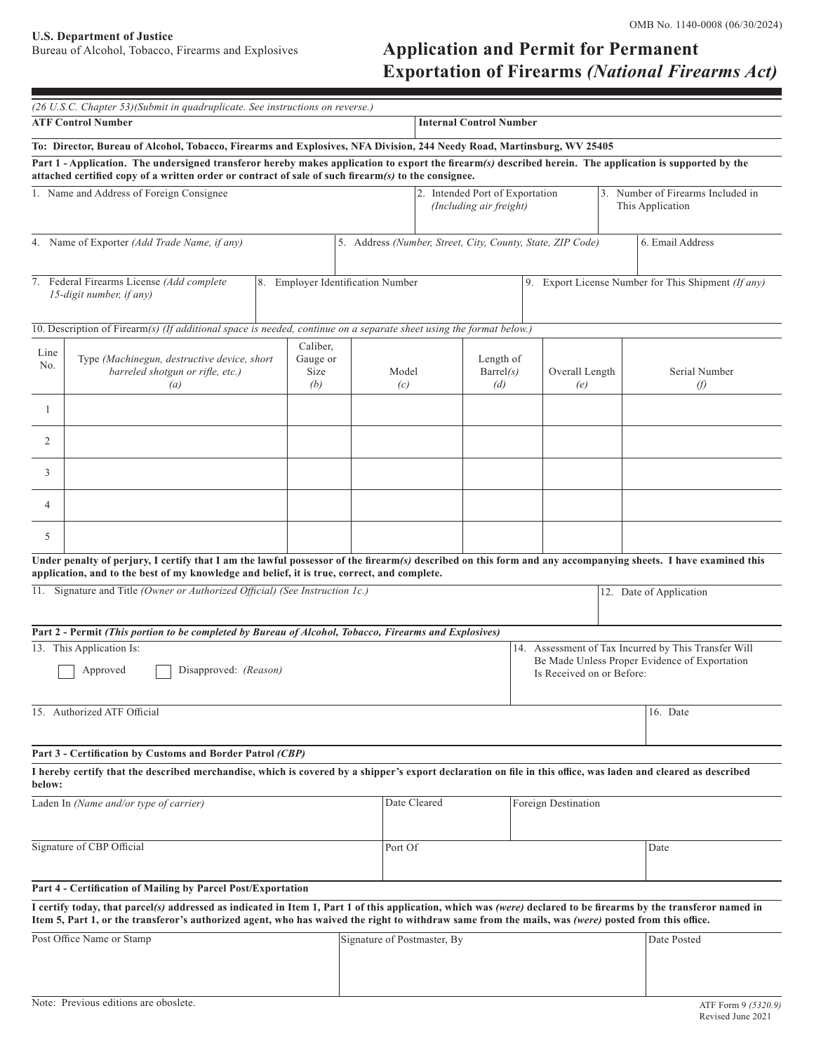**U.S. Department of Justice** 

# Application and Permit for Permanent **Exportation of Firearms** *(National Firearms Act)*

| (26 U.S.C. Chapter 53)(Submit in quadruplicate. See instructions on reverse.)                                                                                                                                                                                                                                            |                                                                                        |                                     |              |                                                                                                                                    |                                                     |                                                                                                                     |  |                                |  |
|--------------------------------------------------------------------------------------------------------------------------------------------------------------------------------------------------------------------------------------------------------------------------------------------------------------------------|----------------------------------------------------------------------------------------|-------------------------------------|--------------|------------------------------------------------------------------------------------------------------------------------------------|-----------------------------------------------------|---------------------------------------------------------------------------------------------------------------------|--|--------------------------------|--|
| <b>ATF Control Number</b><br><b>Internal Control Number</b>                                                                                                                                                                                                                                                              |                                                                                        |                                     |              |                                                                                                                                    |                                                     |                                                                                                                     |  |                                |  |
| To: Director, Bureau of Alcohol, Tobacco, Firearms and Explosives, NFA Division, 244 Needy Road, Martinsburg, WV 25405                                                                                                                                                                                                   |                                                                                        |                                     |              |                                                                                                                                    |                                                     |                                                                                                                     |  |                                |  |
| Part 1 - Application. The undersigned transferor hereby makes application to export the firearm(s) described herein. The application is supported by the<br>attached certified copy of a written order or contract of sale of such firearm(s) to the consignee.                                                          |                                                                                        |                                     |              |                                                                                                                                    |                                                     |                                                                                                                     |  |                                |  |
| 1. Name and Address of Foreign Consignee                                                                                                                                                                                                                                                                                 |                                                                                        |                                     |              |                                                                                                                                    |                                                     | 2. Intended Port of Exportation<br>3. Number of Firearms Included in<br>(Including air freight)<br>This Application |  |                                |  |
| 4. Name of Exporter (Add Trade Name, if any)<br>5. Address (Number, Street, City, County, State, ZIP Code)<br>6. Email Address                                                                                                                                                                                           |                                                                                        |                                     |              |                                                                                                                                    |                                                     |                                                                                                                     |  |                                |  |
|                                                                                                                                                                                                                                                                                                                          | 7. Federal Firearms License (Add complete)<br>15-digit number, if any)                 | 8. Employer Identification Number   |              |                                                                                                                                    | 9. Export License Number for This Shipment (If any) |                                                                                                                     |  |                                |  |
| 10. Description of Firearm(s) (If additional space is needed, continue on a separate sheet using the format below.)                                                                                                                                                                                                      |                                                                                        |                                     |              |                                                                                                                                    |                                                     |                                                                                                                     |  |                                |  |
| Line<br>No.                                                                                                                                                                                                                                                                                                              | Type (Machinegun, destructive device, short<br>barreled shotgun or rifle, etc.)<br>(a) | Caliber,<br>Gauge or<br>Size<br>(b) |              | Model<br>(c)                                                                                                                       | Length of<br>$\text{Barrel}(s)$<br>(d)              | Overall Length<br>(e)                                                                                               |  | Serial Number<br>$\mathcal{D}$ |  |
| -1                                                                                                                                                                                                                                                                                                                       |                                                                                        |                                     |              |                                                                                                                                    |                                                     |                                                                                                                     |  |                                |  |
| 2                                                                                                                                                                                                                                                                                                                        |                                                                                        |                                     |              |                                                                                                                                    |                                                     |                                                                                                                     |  |                                |  |
| 3                                                                                                                                                                                                                                                                                                                        |                                                                                        |                                     |              |                                                                                                                                    |                                                     |                                                                                                                     |  |                                |  |
| 4                                                                                                                                                                                                                                                                                                                        |                                                                                        |                                     |              |                                                                                                                                    |                                                     |                                                                                                                     |  |                                |  |
| 5                                                                                                                                                                                                                                                                                                                        |                                                                                        |                                     |              |                                                                                                                                    |                                                     |                                                                                                                     |  |                                |  |
| Under penalty of perjury, I certify that I am the lawful possessor of the firearm(s) described on this form and any accompanying sheets. I have examined this<br>application, and to the best of my knowledge and belief, it is true, correct, and complete.                                                             |                                                                                        |                                     |              |                                                                                                                                    |                                                     |                                                                                                                     |  |                                |  |
| 11. Signature and Title (Owner or Authorized Official) (See Instruction 1c.)                                                                                                                                                                                                                                             |                                                                                        |                                     |              |                                                                                                                                    |                                                     | 12. Date of Application                                                                                             |  |                                |  |
| Part 2 - Permit (This portion to be completed by Bureau of Alcohol, Tobacco, Firearms and Explosives)                                                                                                                                                                                                                    |                                                                                        |                                     |              |                                                                                                                                    |                                                     |                                                                                                                     |  |                                |  |
|                                                                                                                                                                                                                                                                                                                          | 13. This Application Is:<br>Disapproved: (Reason)<br>Approved                          |                                     |              | 14. Assessment of Tax Incurred by This Transfer Will<br>Be Made Unless Proper Evidence of Exportation<br>Is Received on or Before: |                                                     |                                                                                                                     |  |                                |  |
| 15. Authorized ATF Official                                                                                                                                                                                                                                                                                              |                                                                                        |                                     |              |                                                                                                                                    |                                                     |                                                                                                                     |  | 16. Date                       |  |
| Part 3 - Certification by Customs and Border Patrol (CBP)                                                                                                                                                                                                                                                                |                                                                                        |                                     |              |                                                                                                                                    |                                                     |                                                                                                                     |  |                                |  |
| I hereby certify that the described merchandise, which is covered by a shipper's export declaration on file in this office, was laden and cleared as described<br>below:                                                                                                                                                 |                                                                                        |                                     |              |                                                                                                                                    |                                                     |                                                                                                                     |  |                                |  |
| Laden In (Name and/or type of carrier)                                                                                                                                                                                                                                                                                   |                                                                                        |                                     | Date Cleared | Foreign Destination                                                                                                                |                                                     |                                                                                                                     |  |                                |  |
| Signature of CBP Official                                                                                                                                                                                                                                                                                                |                                                                                        |                                     |              | Port Of                                                                                                                            |                                                     |                                                                                                                     |  | Date                           |  |
| Part 4 - Certification of Mailing by Parcel Post/Exportation                                                                                                                                                                                                                                                             |                                                                                        |                                     |              |                                                                                                                                    |                                                     |                                                                                                                     |  |                                |  |
| I certify today, that parcel(s) addressed as indicated in Item 1, Part 1 of this application, which was (were) declared to be firearms by the transferor named in<br>Item 5, Part 1, or the transferor's authorized agent, who has waived the right to withdraw same from the mails, was (were) posted from this office. |                                                                                        |                                     |              |                                                                                                                                    |                                                     |                                                                                                                     |  |                                |  |
| Post Office Name or Stamp                                                                                                                                                                                                                                                                                                |                                                                                        |                                     |              | Signature of Postmaster, By                                                                                                        |                                                     |                                                                                                                     |  | Date Posted                    |  |